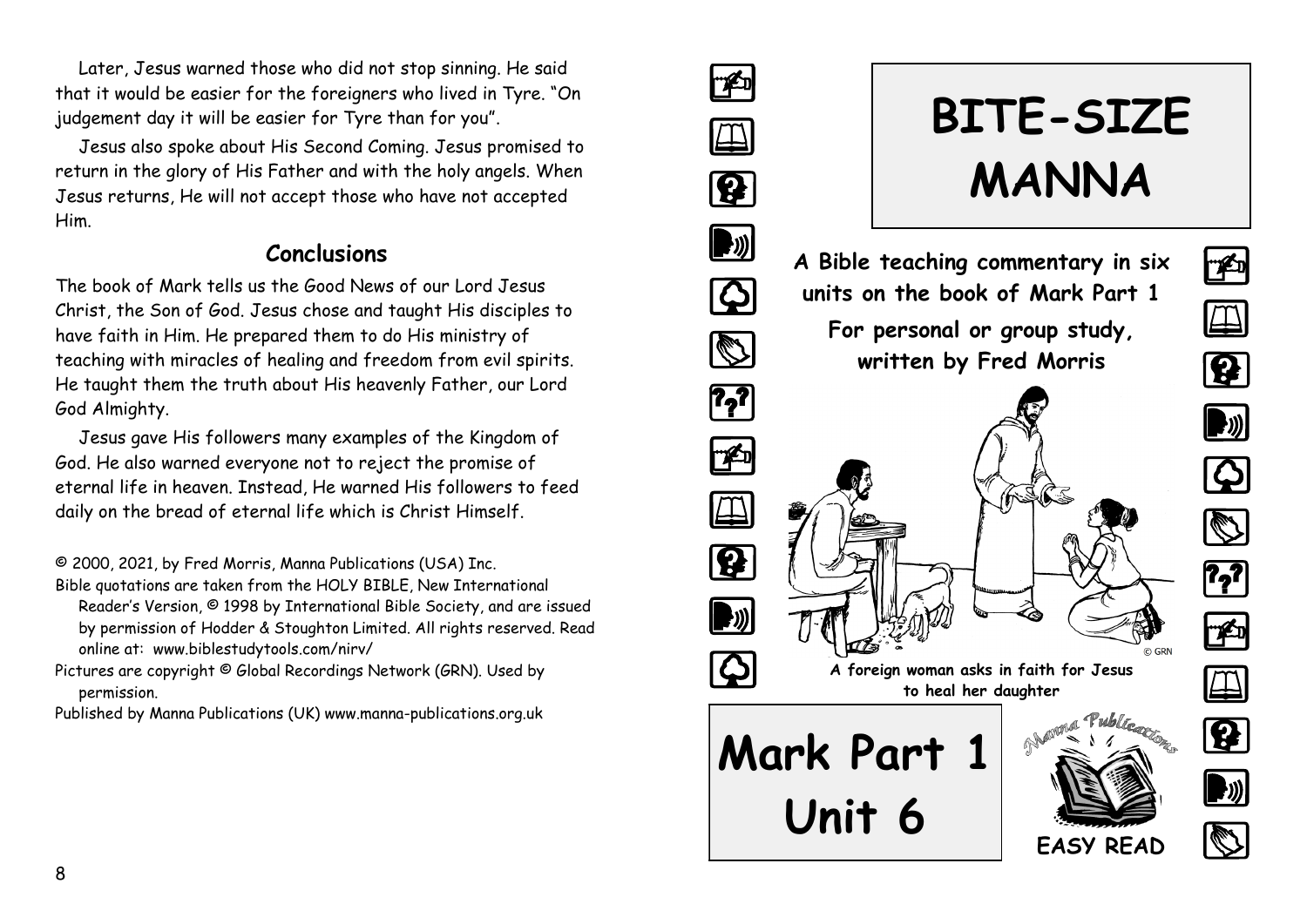Later, Jesus warned those who did not stop sinning. He said that it would be easier for the foreigners who lived in Tyre. "On judgement day it will be easier for Tyre than for you".

Jesus also spoke about His Second Coming. Jesus promised to return in the glory of His Father and with the holy angels. When Jesus returns, He will not accept those who have not accepted Him.

#### **Conclusions**

The book of Mark tells us the Good News of our Lord Jesus Christ, the Son of God. Jesus chose and taught His disciples to have faith in Him. He prepared them to do His ministry of teaching with miracles of healing and freedom from evil spirits. He taught them the truth about His heavenly Father, our Lord God Almighty.

Jesus gave His followers many examples of the Kingdom of God. He also warned everyone not to reject the promise of eternal life in heaven. Instead, He warned His followers to feed daily on the bread of eternal life which is Christ Himself.

© 2000, 2021, by Fred Morris, Manna Publications (USA) Inc.

- Bible quotations are taken from the HOLY BIBLE, New International Reader's Version, © 1998 by International Bible Society, and are issued by permission of Hodder & Stoughton Limited. All rights reserved. Read online at: www.biblestudytools.com/nirv/
- Pictures are copyright © Global Recordings Network (GRN). Used by permission.

Published by Manna Publications (UK) www.manna-publications.org.uk

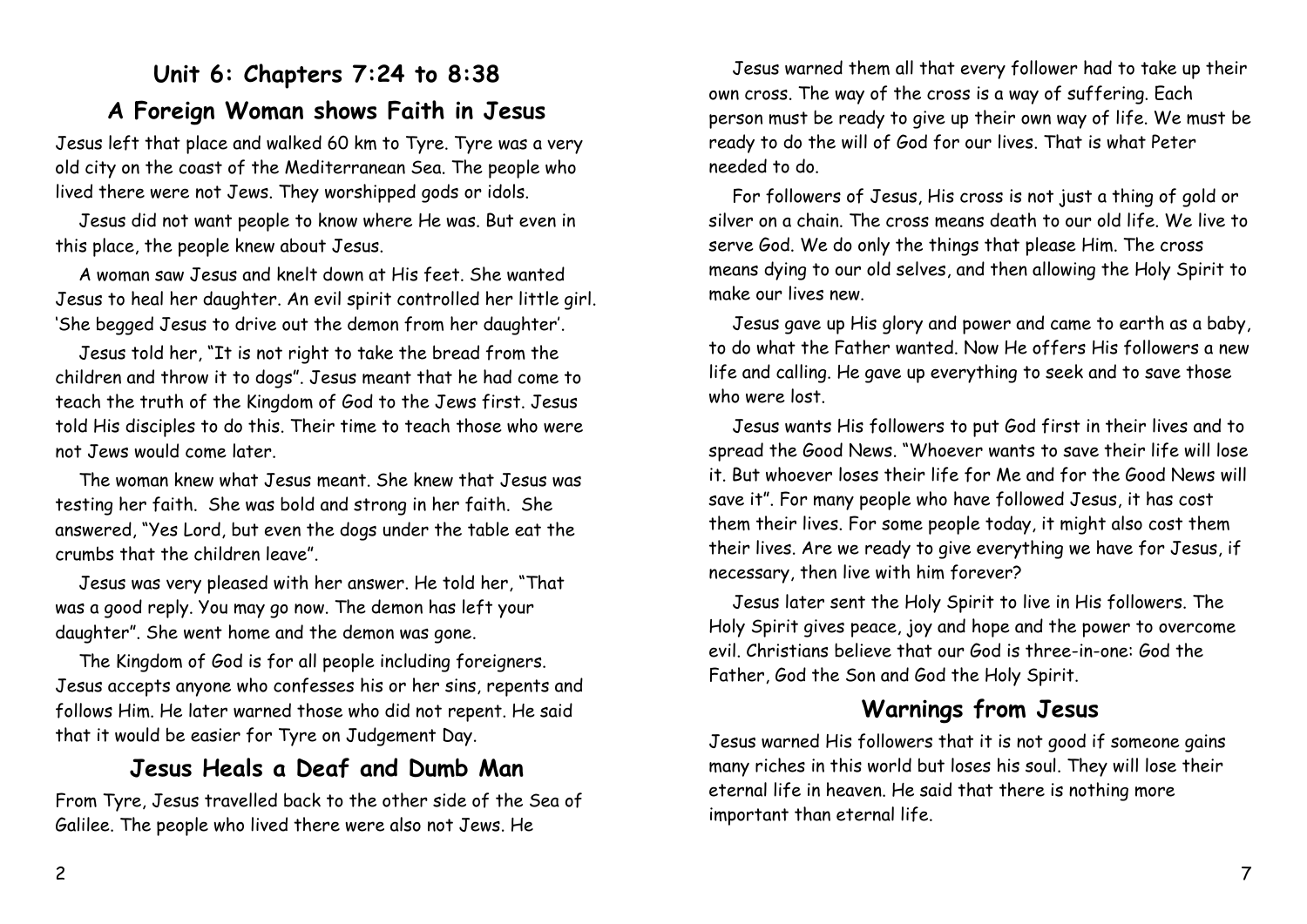# **Unit 6: Chapters 7:24 to 8:38 A Foreign Woman shows Faith in Jesus**

Jesus left that place and walked 60 km to Tyre. Tyre was a very old city on the coast of the Mediterranean Sea. The people who lived there were not Jews. They worshipped gods or idols.

Jesus did not want people to know where He was. But even in this place, the people knew about Jesus.

A woman saw Jesus and knelt down at His feet. She wanted Jesus to heal her daughter. An evil spirit controlled her little girl. 'She begged Jesus to drive out the demon from her daughter'.

Jesus told her, "It is not right to take the bread from the children and throw it to dogs". Jesus meant that he had come to teach the truth of the Kingdom of God to the Jews first. Jesus told His disciples to do this. Their time to teach those who were not Jews would come later.

The woman knew what Jesus meant. She knew that Jesus was testing her faith. She was bold and strong in her faith. She answered, "Yes Lord, but even the dogs under the table eat the crumbs that the children leave".

Jesus was very pleased with her answer. He told her, "That was a good reply. You may go now. The demon has left your daughter". She went home and the demon was gone.

The Kingdom of God is for all people including foreigners. Jesus accepts anyone who confesses his or her sins, repents and follows Him. He later warned those who did not repent. He said that it would be easier for Tyre on Judgement Day.

#### **Jesus Heals a Deaf and Dumb Man**

From Tyre, Jesus travelled back to the other side of the Sea of Galilee. The people who lived there were also not Jews. He

Jesus warned them all that every follower had to take up their own cross. The way of the cross is a way of suffering. Each person must be ready to give up their own way of life. We must be ready to do the will of God for our lives. That is what Peter needed to do.

For followers of Jesus, His cross is not just a thing of gold or silver on a chain. The cross means death to our old life. We live to serve God. We do only the things that please Him. The cross means dying to our old selves, and then allowing the Holy Spirit to make our lives new.

Jesus gave up His glory and power and came to earth as a baby, to do what the Father wanted. Now He offers His followers a new life and calling. He gave up everything to seek and to save those who were lost.

Jesus wants His followers to put God first in their lives and to spread the Good News. "Whoever wants to save their life will lose it. But whoever loses their life for Me and for the Good News will save it". For many people who have followed Jesus, it has cost them their lives. For some people today, it might also cost them their lives. Are we ready to give everything we have for Jesus, if necessary, then live with him forever?

Jesus later sent the Holy Spirit to live in His followers. The Holy Spirit gives peace, joy and hope and the power to overcome evil. Christians believe that our God is three-in-one: God the Father, God the Son and God the Holy Spirit.

### **Warnings from Jesus**

Jesus warned His followers that it is not good if someone gains many riches in this world but loses his soul. They will lose their eternal life in heaven. He said that there is nothing more important than eternal life.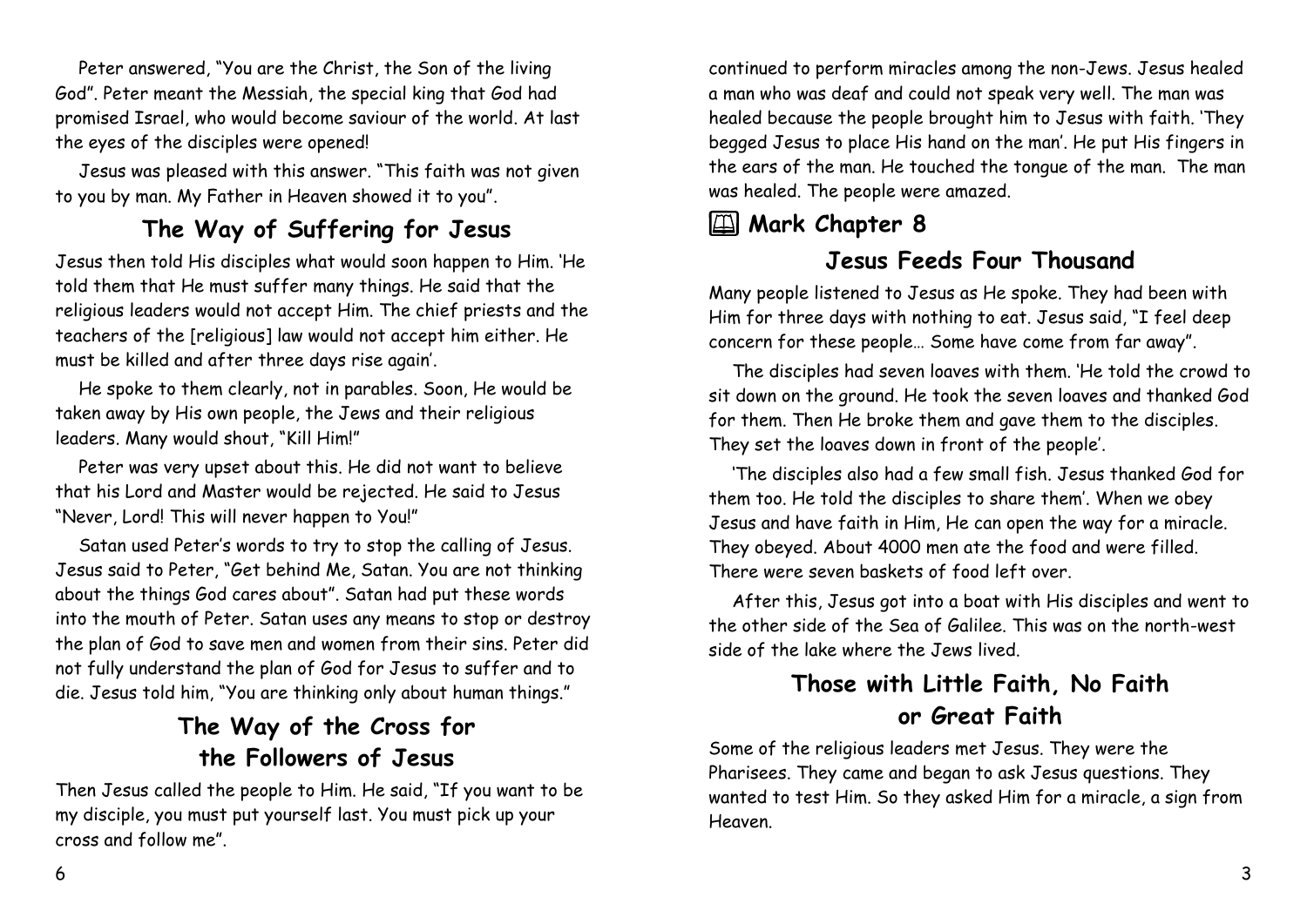Peter answered, "You are the Christ, the Son of the living God". Peter meant the Messiah, the special king that God had promised Israel, who would become saviour of the world. At last the eyes of the disciples were opened!

Jesus was pleased with this answer. "This faith was not given to you by man. My Father in Heaven showed it to you".

## **The Way of Suffering for Jesus**

Jesus then told His disciples what would soon happen to Him. 'He told them that He must suffer many things. He said that the religious leaders would not accept Him. The chief priests and the teachers of the [religious] law would not accept him either. He must be killed and after three days rise again'.

He spoke to them clearly, not in parables. Soon, He would be taken away by His own people, the Jews and their religious leaders. Many would shout, "Kill Him!"

Peter was very upset about this. He did not want to believe that his Lord and Master would be rejected. He said to Jesus "Never, Lord! This will never happen to You!"

Satan used Peter's words to try to stop the calling of Jesus. Jesus said to Peter, "Get behind Me, Satan. You are not thinking about the things God cares about". Satan had put these words into the mouth of Peter. Satan uses any means to stop or destroy the plan of God to save men and women from their sins. Peter did not fully understand the plan of God for Jesus to suffer and to die. Jesus told him, "You are thinking only about human things."

## **The Way of the Cross for the Followers of Jesus**

Then Jesus called the people to Him. He said, "If you want to be my disciple, you must put yourself last. You must pick up your cross and follow me".

continued to perform miracles among the non-Jews. Jesus healed a man who was deaf and could not speak very well. The man was healed because the people brought him to Jesus with faith. 'They begged Jesus to place His hand on the man'. He put His fingers in the ears of the man. He touched the tongue of the man. The man was healed. The people were amazed.

## **EXALUARY Chapter 8**

### **Jesus Feeds Four Thousand**

Many people listened to Jesus as He spoke. They had been with Him for three days with nothing to eat. Jesus said, "I feel deep concern for these people… Some have come from far away".

The disciples had seven loaves with them. 'He told the crowd to sit down on the ground. He took the seven loaves and thanked God for them. Then He broke them and gave them to the disciples. They set the loaves down in front of the people'.

'The disciples also had a few small fish. Jesus thanked God for them too. He told the disciples to share them'. When we obey Jesus and have faith in Him, He can open the way for a miracle. They obeyed. About 4000 men ate the food and were filled. There were seven baskets of food left over.

After this, Jesus got into a boat with His disciples and went to the other side of the Sea of Galilee. This was on the north-west side of the lake where the Jews lived.

# **Those with Little Faith, No Faith or Great Faith**

Some of the religious leaders met Jesus. They were the Pharisees. They came and began to ask Jesus questions. They wanted to test Him. So they asked Him for a miracle, a sign from Heaven.